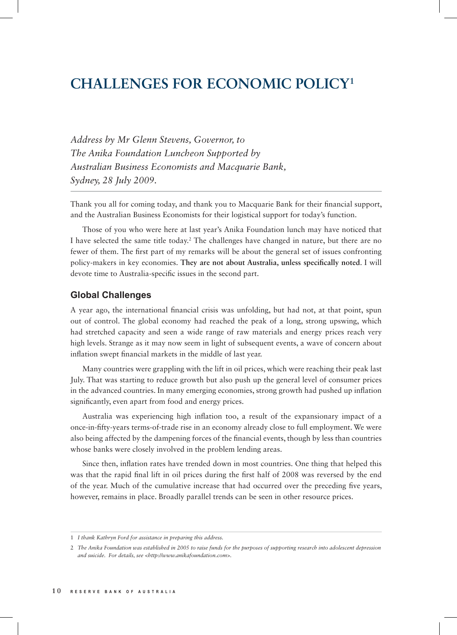## **Challenges for eConomiC PoliCy1**

*Address by Mr Glenn Stevens, Governor, to The Anika Foundation Luncheon Supported by Australian Business Economists and Macquarie Bank, Sydney, 28 July 2009.*

Thank you all for coming today, and thank you to Macquarie Bank for their financial support, and the Australian Business Economists for their logistical support for today's function.

Those of you who were here at last year's Anika Foundation lunch may have noticed that I have selected the same title today.<sup>2</sup> The challenges have changed in nature, but there are no fewer of them. The first part of my remarks will be about the general set of issues confronting policy-makers in key economies. **They are not about australia, unless specifically noted**. I will devote time to Australia-specific issues in the second part.

## **Global Challenges**

A year ago, the international financial crisis was unfolding, but had not, at that point, spun out of control. The global economy had reached the peak of a long, strong upswing, which had stretched capacity and seen a wide range of raw materials and energy prices reach very high levels. Strange as it may now seem in light of subsequent events, a wave of concern about inflation swept financial markets in the middle of last year.

Many countries were grappling with the lift in oil prices, which were reaching their peak last July. That was starting to reduce growth but also push up the general level of consumer prices in the advanced countries. In many emerging economies, strong growth had pushed up inflation significantly, even apart from food and energy prices.

Australia was experiencing high inflation too, a result of the expansionary impact of a once-in-fifty-years terms-of-trade rise in an economy already close to full employment. We were also being affected by the dampening forces of the financial events, though by less than countries whose banks were closely involved in the problem lending areas.

Since then, inflation rates have trended down in most countries. One thing that helped this was that the rapid final lift in oil prices during the first half of 2008 was reversed by the end of the year. Much of the cumulative increase that had occurred over the preceding five years, however, remains in place. Broadly parallel trends can be seen in other resource prices.

<sup>�</sup> *I thank Kathryn Ford for assistance in preparing this address.*

*The Anika Foundation was established in 2005 to raise funds for the purposes of supporting research into adolescent depression and suicide. For details, see <http://www.anikafoundation.com>.*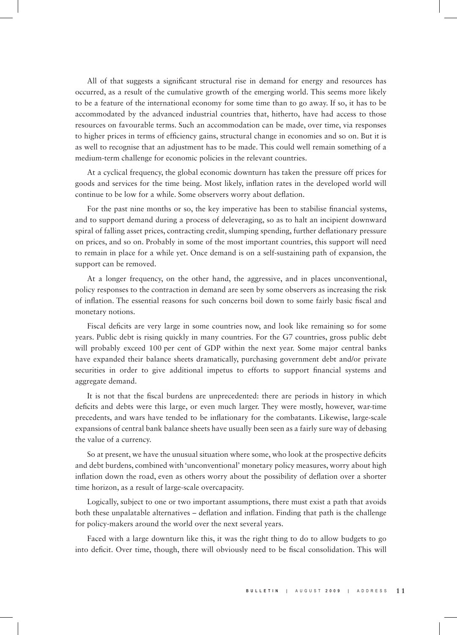All of that suggests a significant structural rise in demand for energy and resources has occurred, as a result of the cumulative growth of the emerging world. This seems more likely to be a feature of the international economy for some time than to go away. If so, it has to be accommodated by the advanced industrial countries that, hitherto, have had access to those resources on favourable terms. Such an accommodation can be made, over time, via responses to higher prices in terms of efficiency gains, structural change in economies and so on. But it is as well to recognise that an adjustment has to be made. This could well remain something of a medium-term challenge for economic policies in the relevant countries.

At a cyclical frequency, the global economic downturn has taken the pressure off prices for goods and services for the time being. Most likely, inflation rates in the developed world will continue to be low for a while. Some observers worry about deflation.

For the past nine months or so, the key imperative has been to stabilise financial systems, and to support demand during a process of deleveraging, so as to halt an incipient downward spiral of falling asset prices, contracting credit, slumping spending, further deflationary pressure on prices, and so on. Probably in some of the most important countries, this support will need to remain in place for a while yet. Once demand is on a self-sustaining path of expansion, the support can be removed.

At a longer frequency, on the other hand, the aggressive, and in places unconventional, policy responses to the contraction in demand are seen by some observers as increasing the risk of inflation. The essential reasons for such concerns boil down to some fairly basic fiscal and monetary notions.

Fiscal deficits are very large in some countries now, and look like remaining so for some years. Public debt is rising quickly in many countries. For the G7 countries, gross public debt will probably exceed 100 per cent of GDP within the next year. Some major central banks have expanded their balance sheets dramatically, purchasing government debt and/or private securities in order to give additional impetus to efforts to support financial systems and aggregate demand.

It is not that the fiscal burdens are unprecedented: there are periods in history in which deficits and debts were this large, or even much larger. They were mostly, however, war-time precedents, and wars have tended to be inflationary for the combatants. Likewise, large-scale expansions of central bank balance sheets have usually been seen as a fairly sure way of debasing the value of a currency.

So at present, we have the unusual situation where some, who look at the prospective deficits and debt burdens, combined with 'unconventional' monetary policy measures, worry about high inflation down the road, even as others worry about the possibility of deflation over a shorter time horizon, as a result of large-scale overcapacity.

Logically, subject to one or two important assumptions, there must exist a path that avoids both these unpalatable alternatives – deflation and inflation. Finding that path is the challenge for policy-makers around the world over the next several years.

Faced with a large downturn like this, it was the right thing to do to allow budgets to go into deficit. Over time, though, there will obviously need to be fiscal consolidation. This will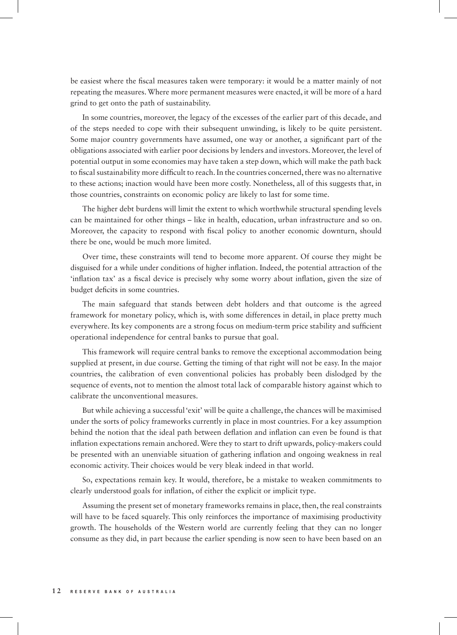be easiest where the fiscal measures taken were temporary: it would be a matter mainly of not repeating the measures. Where more permanent measures were enacted, it will be more of a hard grind to get onto the path of sustainability.

In some countries, moreover, the legacy of the excesses of the earlier part of this decade, and of the steps needed to cope with their subsequent unwinding, is likely to be quite persistent. Some major country governments have assumed, one way or another, a significant part of the obligations associated with earlier poor decisions by lenders and investors. Moreover, the level of potential output in some economies may have taken a step down, which will make the path back to fiscal sustainability more difficult to reach. In the countries concerned, there was no alternative to these actions; inaction would have been more costly. Nonetheless, all of this suggests that, in those countries, constraints on economic policy are likely to last for some time.

The higher debt burdens will limit the extent to which worthwhile structural spending levels can be maintained for other things – like in health, education, urban infrastructure and so on. Moreover, the capacity to respond with fiscal policy to another economic downturn, should there be one, would be much more limited.

Over time, these constraints will tend to become more apparent. Of course they might be disguised for a while under conditions of higher inflation. Indeed, the potential attraction of the 'inflation tax' as a fiscal device is precisely why some worry about inflation, given the size of budget deficits in some countries.

The main safeguard that stands between debt holders and that outcome is the agreed framework for monetary policy, which is, with some differences in detail, in place pretty much everywhere. Its key components are a strong focus on medium-term price stability and sufficient operational independence for central banks to pursue that goal.

This framework will require central banks to remove the exceptional accommodation being supplied at present, in due course. Getting the timing of that right will not be easy. In the major countries, the calibration of even conventional policies has probably been dislodged by the sequence of events, not to mention the almost total lack of comparable history against which to calibrate the unconventional measures.

But while achieving a successful 'exit' will be quite a challenge, the chances will be maximised under the sorts of policy frameworks currently in place in most countries. For a key assumption behind the notion that the ideal path between deflation and inflation can even be found is that inflation expectations remain anchored. Were they to start to drift upwards, policy-makers could be presented with an unenviable situation of gathering inflation and ongoing weakness in real economic activity. Their choices would be very bleak indeed in that world.

So, expectations remain key. It would, therefore, be a mistake to weaken commitments to clearly understood goals for inflation, of either the explicit or implicit type.

Assuming the present set of monetary frameworks remains in place, then, the real constraints will have to be faced squarely. This only reinforces the importance of maximising productivity growth. The households of the Western world are currently feeling that they can no longer consume as they did, in part because the earlier spending is now seen to have been based on an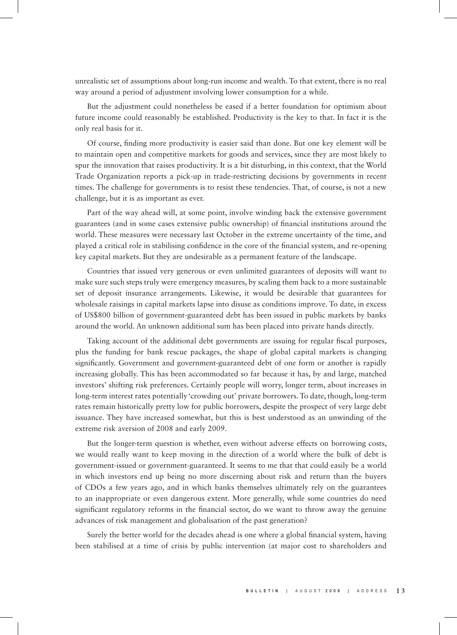unrealistic set of assumptions about long-run income and wealth. To that extent, there is no real way around a period of adjustment involving lower consumption for a while.

But the adjustment could nonetheless be eased if a better foundation for optimism about future income could reasonably be established. Productivity is the key to that. In fact it is the only real basis for it.

Of course, finding more productivity is easier said than done. But one key element will be to maintain open and competitive markets for goods and services, since they are most likely to spur the innovation that raises productivity. It is a bit disturbing, in this context, that the World Trade Organization reports a pick-up in trade-restricting decisions by governments in recent times. The challenge for governments is to resist these tendencies. That, of course, is not a new challenge, but it is as important as ever.

Part of the way ahead will, at some point, involve winding back the extensive government guarantees (and in some cases extensive public ownership) of financial institutions around the world. These measures were necessary last October in the extreme uncertainty of the time, and played a critical role in stabilising confidence in the core of the financial system, and re-opening key capital markets. But they are undesirable as a permanent feature of the landscape.

Countries that issued very generous or even unlimited guarantees of deposits will want to make sure such steps truly were emergency measures, by scaling them back to a more sustainable set of deposit insurance arrangements. Likewise, it would be desirable that guarantees for wholesale raisings in capital markets lapse into disuse as conditions improve. To date, in excess of US\$800 billion of government-guaranteed debt has been issued in public markets by banks around the world. An unknown additional sum has been placed into private hands directly.

Taking account of the additional debt governments are issuing for regular fiscal purposes, plus the funding for bank rescue packages, the shape of global capital markets is changing significantly. Government and government-guaranteed debt of one form or another is rapidly increasing globally. This has been accommodated so far because it has, by and large, matched investors' shifting risk preferences. Certainly people will worry, longer term, about increases in long-term interest rates potentially 'crowding out' private borrowers. To date, though, long-term rates remain historically pretty low for public borrowers, despite the prospect of very large debt issuance. They have increased somewhat, but this is best understood as an unwinding of the extreme risk aversion of 2008 and early 2009.

But the longer-term question is whether, even without adverse effects on borrowing costs, we would really want to keep moving in the direction of a world where the bulk of debt is government-issued or government-guaranteed. It seems to me that that could easily be a world in which investors end up being no more discerning about risk and return than the buyers of CDOs a few years ago, and in which banks themselves ultimately rely on the guarantees to an inappropriate or even dangerous extent. More generally, while some countries do need significant regulatory reforms in the financial sector, do we want to throw away the genuine advances of risk management and globalisation of the past generation?

Surely the better world for the decades ahead is one where a global financial system, having been stabilised at a time of crisis by public intervention (at major cost to shareholders and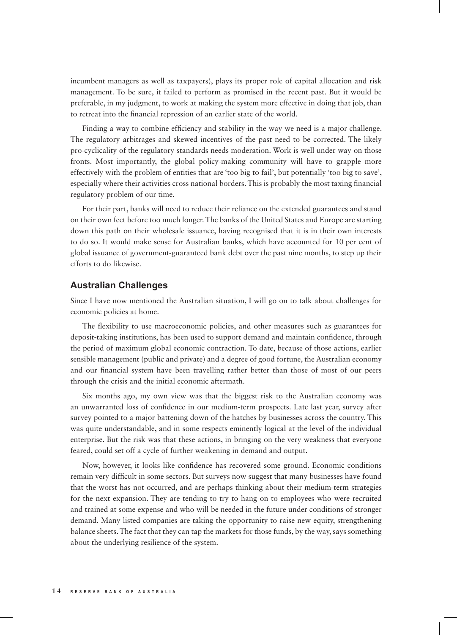incumbent managers as well as taxpayers), plays its proper role of capital allocation and risk management. To be sure, it failed to perform as promised in the recent past. But it would be preferable, in my judgment, to work at making the system more effective in doing that job, than to retreat into the financial repression of an earlier state of the world.

Finding a way to combine efficiency and stability in the way we need is a major challenge. The regulatory arbitrages and skewed incentives of the past need to be corrected. The likely pro-cyclicality of the regulatory standards needs moderation. Work is well under way on those fronts. Most importantly, the global policy-making community will have to grapple more effectively with the problem of entities that are 'too big to fail', but potentially 'too big to save', especially where their activities cross national borders. This is probably the most taxing financial regulatory problem of our time.

For their part, banks will need to reduce their reliance on the extended guarantees and stand on their own feet before too much longer. The banks of the United States and Europe are starting down this path on their wholesale issuance, having recognised that it is in their own interests to do so. It would make sense for Australian banks, which have accounted for 10 per cent of global issuance of government-guaranteed bank debt over the past nine months, to step up their efforts to do likewise.

## **Australian Challenges**

Since I have now mentioned the Australian situation, I will go on to talk about challenges for economic policies at home.

The flexibility to use macroeconomic policies, and other measures such as guarantees for deposit-taking institutions, has been used to support demand and maintain confidence, through the period of maximum global economic contraction. To date, because of those actions, earlier sensible management (public and private) and a degree of good fortune, the Australian economy and our financial system have been travelling rather better than those of most of our peers through the crisis and the initial economic aftermath.

Six months ago, my own view was that the biggest risk to the Australian economy was an unwarranted loss of confidence in our medium-term prospects. Late last year, survey after survey pointed to a major battening down of the hatches by businesses across the country. This was quite understandable, and in some respects eminently logical at the level of the individual enterprise. But the risk was that these actions, in bringing on the very weakness that everyone feared, could set off a cycle of further weakening in demand and output.

Now, however, it looks like confidence has recovered some ground. Economic conditions remain very difficult in some sectors. But surveys now suggest that many businesses have found that the worst has not occurred, and are perhaps thinking about their medium-term strategies for the next expansion. They are tending to try to hang on to employees who were recruited and trained at some expense and who will be needed in the future under conditions of stronger demand. Many listed companies are taking the opportunity to raise new equity, strengthening balance sheets. The fact that they can tap the markets for those funds, by the way, says something about the underlying resilience of the system.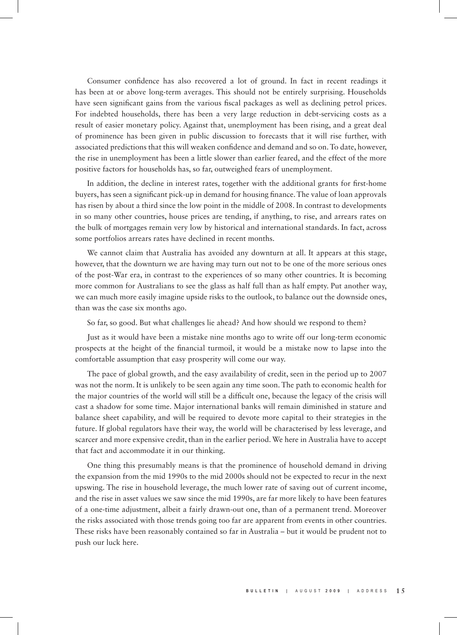Consumer confidence has also recovered a lot of ground. In fact in recent readings it has been at or above long-term averages. This should not be entirely surprising. Households have seen significant gains from the various fiscal packages as well as declining petrol prices. For indebted households, there has been a very large reduction in debt-servicing costs as a result of easier monetary policy. Against that, unemployment has been rising, and a great deal of prominence has been given in public discussion to forecasts that it will rise further, with associated predictions that this will weaken confidence and demand and so on. To date, however, the rise in unemployment has been a little slower than earlier feared, and the effect of the more positive factors for households has, so far, outweighed fears of unemployment.

In addition, the decline in interest rates, together with the additional grants for first-home buyers, has seen a significant pick-up in demand for housing finance. The value of loan approvals has risen by about a third since the low point in the middle of 2008. In contrast to developments in so many other countries, house prices are tending, if anything, to rise, and arrears rates on the bulk of mortgages remain very low by historical and international standards. In fact, across some portfolios arrears rates have declined in recent months.

We cannot claim that Australia has avoided any downturn at all. It appears at this stage, however, that the downturn we are having may turn out not to be one of the more serious ones of the post-War era, in contrast to the experiences of so many other countries. It is becoming more common for Australians to see the glass as half full than as half empty. Put another way, we can much more easily imagine upside risks to the outlook, to balance out the downside ones, than was the case six months ago.

So far, so good. But what challenges lie ahead? And how should we respond to them?

Just as it would have been a mistake nine months ago to write off our long-term economic prospects at the height of the financial turmoil, it would be a mistake now to lapse into the comfortable assumption that easy prosperity will come our way.

The pace of global growth, and the easy availability of credit, seen in the period up to 2007 was not the norm. It is unlikely to be seen again any time soon. The path to economic health for the major countries of the world will still be a difficult one, because the legacy of the crisis will cast a shadow for some time. Major international banks will remain diminished in stature and balance sheet capability, and will be required to devote more capital to their strategies in the future. If global regulators have their way, the world will be characterised by less leverage, and scarcer and more expensive credit, than in the earlier period. We here in Australia have to accept that fact and accommodate it in our thinking.

One thing this presumably means is that the prominence of household demand in driving the expansion from the mid 1990s to the mid 2000s should not be expected to recur in the next upswing. The rise in household leverage, the much lower rate of saving out of current income, and the rise in asset values we saw since the mid 1990s, are far more likely to have been features of a one-time adjustment, albeit a fairly drawn-out one, than of a permanent trend. Moreover the risks associated with those trends going too far are apparent from events in other countries. These risks have been reasonably contained so far in Australia – but it would be prudent not to push our luck here.